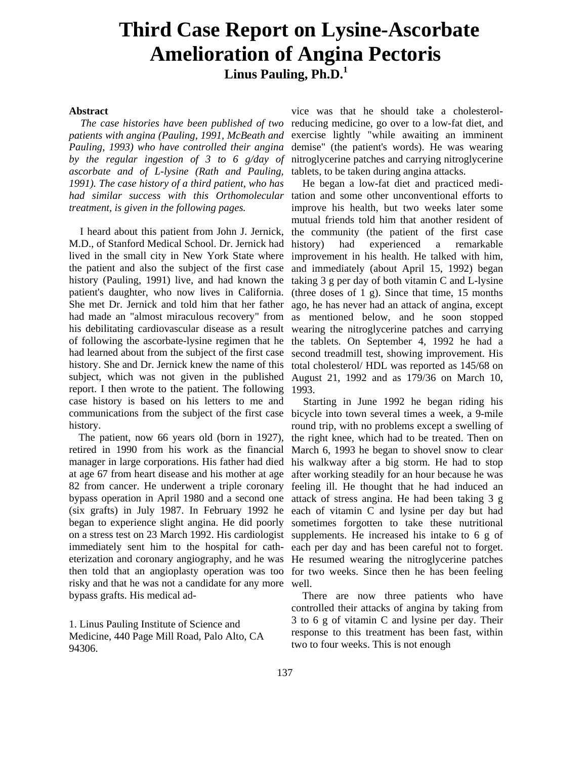## **Third Case Report on Lysine-Ascorbate Amelioration of Angina Pectoris Linus Pauling, Ph.D.<sup>1</sup>**

## **Abstract**

*The case histories have been published of two patients with angina (Pauling, 1991, McBeath and Pauling, 1993) who have controlled their angina by the regular ingestion of 3 to 6 g/day of ascorbate and of L-lysine (Rath and Pauling, 1991). The case history of a third patient, who has had similar success with this Orthomolecular*  tation and some other unconventional efforts to *treatment, is given in the following pages.*

I heard about this patient from John J. Jernick, M.D., of Stanford Medical School. Dr. Jernick had lived in the small city in New York State where the patient and also the subject of the first case history (Pauling, 1991) live, and had known the patient's daughter, who now lives in California. She met Dr. Jernick and told him that her father had made an "almost miraculous recovery" from his debilitating cardiovascular disease as a result of following the ascorbate-lysine regimen that he had learned about from the subject of the first case history. She and Dr. Jernick knew the name of this subject, which was not given in the published report. I then wrote to the patient. The following case history is based on his letters to me and communications from the subject of the first case history.

The patient, now 66 years old (born in 1927), retired in 1990 from his work as the financial manager in large corporations. His father had died at age 67 from heart disease and his mother at age 82 from cancer. He underwent a triple coronary bypass operation in April 1980 and a second one (six grafts) in July 1987. In February 1992 he began to experience slight angina. He did poorly on a stress test on 23 March 1992. His cardiologist immediately sent him to the hospital for catheterization and coronary angiography, and he was then told that an angioplasty operation was too risky and that he was not a candidate for any more bypass grafts. His medical ad-

1. Linus Pauling Institute of Science and Medicine, 440 Page Mill Road, Palo Alto, CA 94306.

vice was that he should take a cholesterolreducing medicine, go over to a low-fat diet, and exercise lightly "while awaiting an imminent demise" (the patient's words). He was wearing nitroglycerine patches and carrying nitroglycerine tablets, to be taken during angina attacks.

He began a low-fat diet and practiced mediimprove his health, but two weeks later some mutual friends told him that another resident of the community (the patient of the first case history) had experienced a remarkable improvement in his health. He talked with him, and immediately (about April 15, 1992) began taking 3 g per day of both vitamin C and L-lysine (three doses of 1 g). Since that time, 15 months ago, he has never had an attack of angina, except as mentioned below, and he soon stopped wearing the nitroglycerine patches and carrying the tablets. On September 4, 1992 he had a second treadmill test, showing improvement. His total cholesterol/ HDL was reported as 145/68 on August 21, 1992 and as 179/36 on March 10, 1993.

Starting in June 1992 he began riding his bicycle into town several times a week, a 9-mile round trip, with no problems except a swelling of the right knee, which had to be treated. Then on March 6, 1993 he began to shovel snow to clear his walkway after a big storm. He had to stop after working steadily for an hour because he was feeling ill. He thought that he had induced an attack of stress angina. He had been taking 3 g each of vitamin C and lysine per day but had sometimes forgotten to take these nutritional supplements. He increased his intake to 6 g of each per day and has been careful not to forget. He resumed wearing the nitroglycerine patches for two weeks. Since then he has been feeling well.

There are now three patients who have controlled their attacks of angina by taking from 3 to 6 g of vitamin C and lysine per day. Their response to this treatment has been fast, within two to four weeks. This is not enough